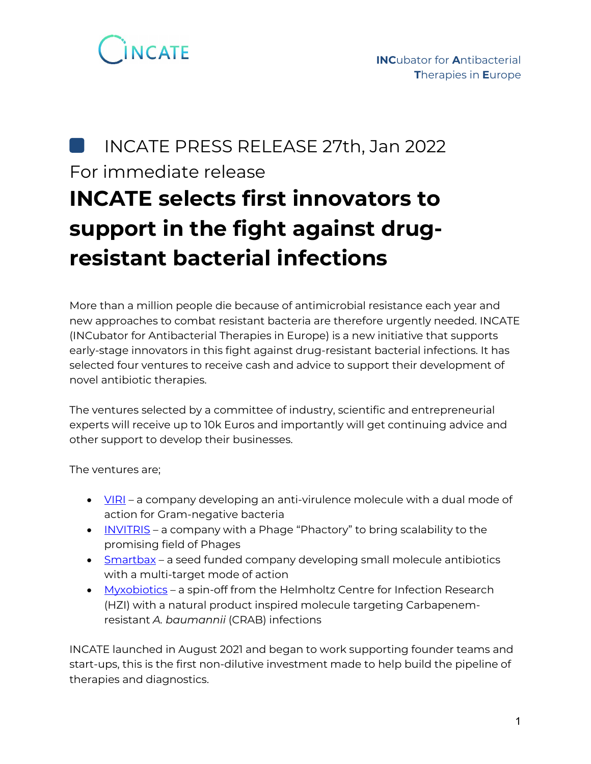

### INCATE PRESS RELEASE 27th, Jan 2022 For immediate release **INCATE selects first innovators to support in the fight against drugresistant bacterial infections**

More than a million people die because of antimicrobial resistance each year and new approaches to combat resistant bacteria are therefore urgently needed. INCATE (INCubator for Antibacterial Therapies in Europe) is a new initiative that supports early-stage innovators in this fight against drug-resistant bacterial infections. It has selected four ventures to receive cash and advice to support their development of novel antibiotic therapies.

The ventures selected by a committee of industry, scientific and entrepreneurial experts will receive up to 10k Euros and importantly will get continuing advice and other support to develop their businesses.

The ventures are;

- $\bullet$   $\underline{VIR}$  a company developing an anti-virulence molecule with a dual mode of action for Gram-negative bacteria
- [INVITRIS](https://invitris.com/) a company with a Phage "Phactory" to bring scalability to the promising field of Phages
- [Smartbax](http://www.smartbax.de/) a seed funded company developing small molecule antibiotics with a multi-target mode of action
- [Myxobiotics](http://beta.myxobiotics.de/) a spin-off from the Helmholtz Centre for Infection Research (HZI) with a natural product inspired molecule targeting Carbapenemresistant *A. baumannii* (CRAB) infections

INCATE launched in August 2021 and began to work supporting founder teams and start-ups, this is the first non-dilutive investment made to help build the pipeline of therapies and diagnostics.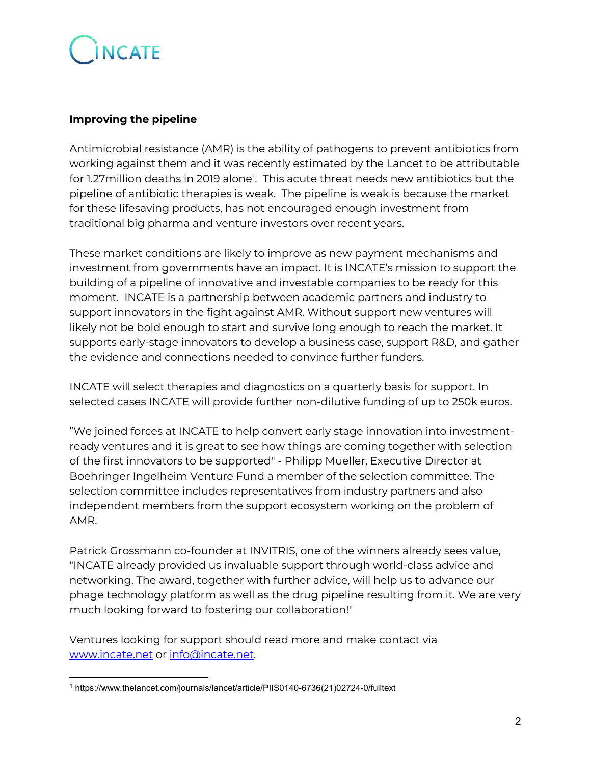## INCATE

#### **Improving the pipeline**

Antimicrobial resistance (AMR) is the ability of pathogens to prevent antibiotics from working against them and it was recently estimated by the Lancet to be attributable for [1](#page-1-0).27million deaths in 2019 alone<sup>1</sup>. This acute threat needs new antibiotics but the pipeline of antibiotic therapies is weak. The pipeline is weak is because the market for these lifesaving products, has not encouraged enough investment from traditional big pharma and venture investors over recent years.

These market conditions are likely to improve as new payment mechanisms and investment from governments have an impact. It is INCATE's mission to support the building of a pipeline of innovative and investable companies to be ready for this moment. INCATE is a partnership between academic partners and industry to support innovators in the fight against AMR. Without support new ventures will likely not be bold enough to start and survive long enough to reach the market. It supports early-stage innovators to develop a business case, support R&D, and gather the evidence and connections needed to convince further funders.

INCATE will select therapies and diagnostics on a quarterly basis for support. In selected cases INCATE will provide further non-dilutive funding of up to 250k euros.

"We joined forces at INCATE to help convert early stage innovation into investmentready ventures and it is great to see how things are coming together with selection of the first innovators to be supported" - Philipp Mueller, Executive Director at Boehringer Ingelheim Venture Fund a member of the selection committee. The selection committee includes representatives from industry partners and also independent members from the support ecosystem working on the problem of AMR.

Patrick Grossmann co-founder at INVITRIS, one of the winners already sees value, "INCATE already provided us invaluable support through world-class advice and networking. The award, together with further advice, will help us to advance our phage technology platform as well as the drug pipeline resulting from it. We are very much looking forward to fostering our collaboration!"

Ventures looking for support should read more and make contact via [www.incate.net](http://www.incate.net/) or info@incate.net.

<span id="page-1-0"></span> <sup>1</sup> https://www.thelancet.com/journals/lancet/article/PIIS0140-6736(21)02724-0/fulltext